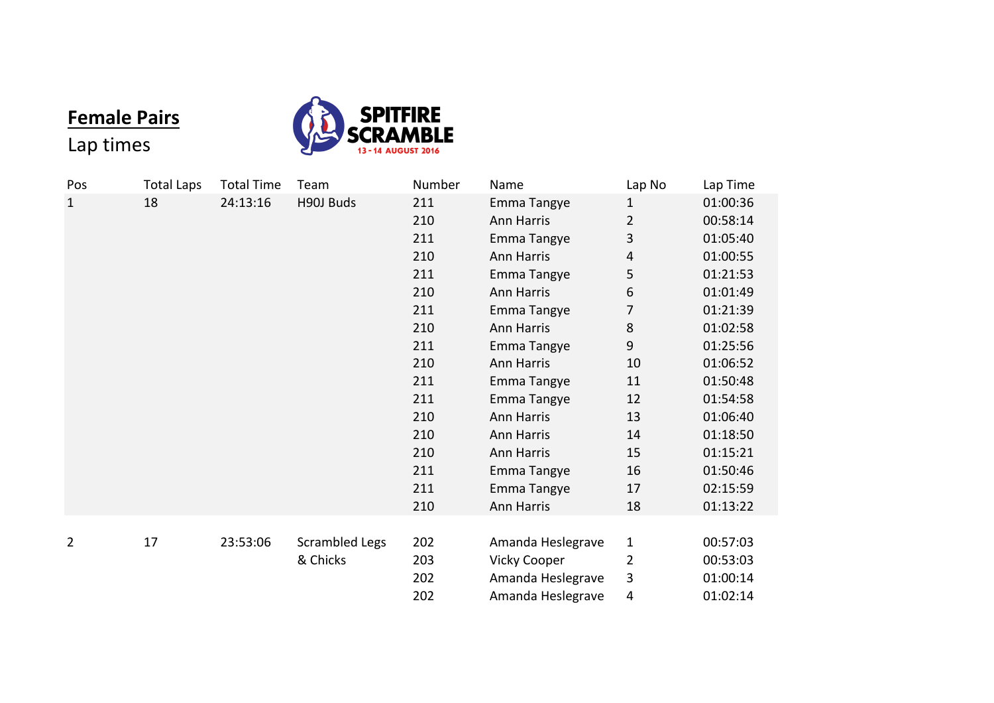## **Female Pairs**



## Lap times

| Pos         | <b>Total Laps</b> | <b>Total Time</b> | Team                  | Number | Name                | Lap No       | Lap Time |
|-------------|-------------------|-------------------|-----------------------|--------|---------------------|--------------|----------|
| $\mathbf 1$ | 18                | 24:13:16          | H90J Buds             | 211    | Emma Tangye         | $\mathbf{1}$ | 01:00:36 |
|             |                   |                   |                       | 210    | Ann Harris          | 2            | 00:58:14 |
|             |                   |                   |                       | 211    | Emma Tangye         | 3            | 01:05:40 |
|             |                   |                   |                       | 210    | Ann Harris          | 4            | 01:00:55 |
|             |                   |                   |                       | 211    | Emma Tangye         | 5            | 01:21:53 |
|             |                   |                   |                       | 210    | Ann Harris          | 6            | 01:01:49 |
|             |                   |                   |                       | 211    | Emma Tangye         | 7            | 01:21:39 |
|             |                   |                   |                       | 210    | Ann Harris          | 8            | 01:02:58 |
|             |                   |                   |                       | 211    | Emma Tangye         | 9            | 01:25:56 |
|             |                   |                   |                       | 210    | Ann Harris          | 10           | 01:06:52 |
|             |                   |                   |                       | 211    | Emma Tangye         | 11           | 01:50:48 |
|             |                   |                   |                       | 211    | Emma Tangye         | 12           | 01:54:58 |
|             |                   |                   |                       | 210    | Ann Harris          | 13           | 01:06:40 |
|             |                   |                   |                       | 210    | Ann Harris          | 14           | 01:18:50 |
|             |                   |                   |                       | 210    | Ann Harris          | 15           | 01:15:21 |
|             |                   |                   |                       | 211    | Emma Tangye         | 16           | 01:50:46 |
|             |                   |                   |                       | 211    | Emma Tangye         | 17           | 02:15:59 |
|             |                   |                   |                       | 210    | Ann Harris          | 18           | 01:13:22 |
|             |                   |                   |                       |        |                     |              |          |
| 2           | 17                | 23:53:06          | <b>Scrambled Legs</b> | 202    | Amanda Heslegrave   | 1            | 00:57:03 |
|             |                   |                   | & Chicks              | 203    | <b>Vicky Cooper</b> | 2            | 00:53:03 |
|             |                   |                   |                       | 202    | Amanda Heslegrave   | 3            | 01:00:14 |
|             |                   |                   |                       | 202    | Amanda Heslegrave   | 4            | 01:02:14 |